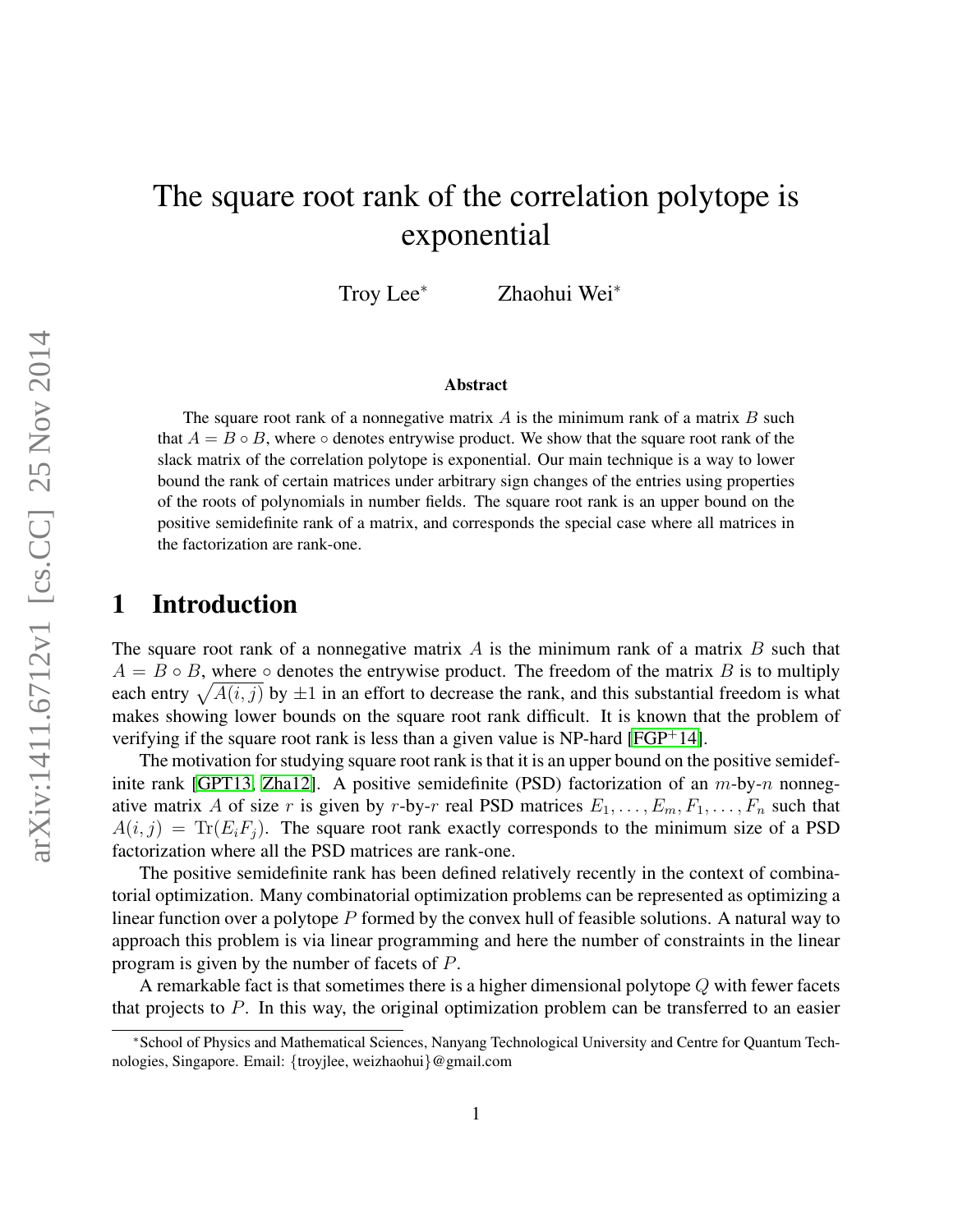# The square root rank of the correlation polytope is exponential

Troy Lee<sup>∗</sup> Zhaohui Wei<sup>∗</sup>

#### Abstract

The square root rank of a nonnegative matrix  $A$  is the minimum rank of a matrix  $B$  such that  $A = B \circ B$ , where  $\circ$  denotes entrywise product. We show that the square root rank of the slack matrix of the correlation polytope is exponential. Our main technique is a way to lower bound the rank of certain matrices under arbitrary sign changes of the entries using properties of the roots of polynomials in number fields. The square root rank is an upper bound on the positive semidefinite rank of a matrix, and corresponds the special case where all matrices in the factorization are rank-one.

### 1 Introduction

The square root rank of a nonnegative matrix A is the minimum rank of a matrix B such that  $A = B \circ B$ , where  $\circ$  denotes the entrywise product. The freedom of the matrix B is to multiply each entry  $\sqrt{A(i, j)}$  by  $\pm 1$  in an effort to decrease the rank, and this substantial freedom is what makes showing lower bounds on the square root rank difficult. It is known that the problem of verifying if the square root rank is less than a given value is NP-hard  $[FGP^+14]$  $[FGP^+14]$ .

The motivation for studying square root rank is that it is an upper bound on the positive semidef-inite rank [\[GPT13,](#page-9-0) [Zha12\]](#page-9-1). A positive semidefinite (PSD) factorization of an  $m$ -by- $n$  nonnegative matrix A of size r is given by r-by-r real PSD matrices  $E_1, \ldots, E_m, F_1, \ldots, F_n$  such that  $A(i, j) = \text{Tr}(E_i F_j)$ . The square root rank exactly corresponds to the minimum size of a PSD factorization where all the PSD matrices are rank-one.

The positive semidefinite rank has been defined relatively recently in the context of combinatorial optimization. Many combinatorial optimization problems can be represented as optimizing a linear function over a polytope P formed by the convex hull of feasible solutions. A natural way to approach this problem is via linear programming and here the number of constraints in the linear program is given by the number of facets of P.

A remarkable fact is that sometimes there is a higher dimensional polytope  $Q$  with fewer facets that projects to  $P$ . In this way, the original optimization problem can be transferred to an easier

<sup>∗</sup>School of Physics and Mathematical Sciences, Nanyang Technological University and Centre for Quantum Technologies, Singapore. Email: {troyjlee, weizhaohui}@gmail.com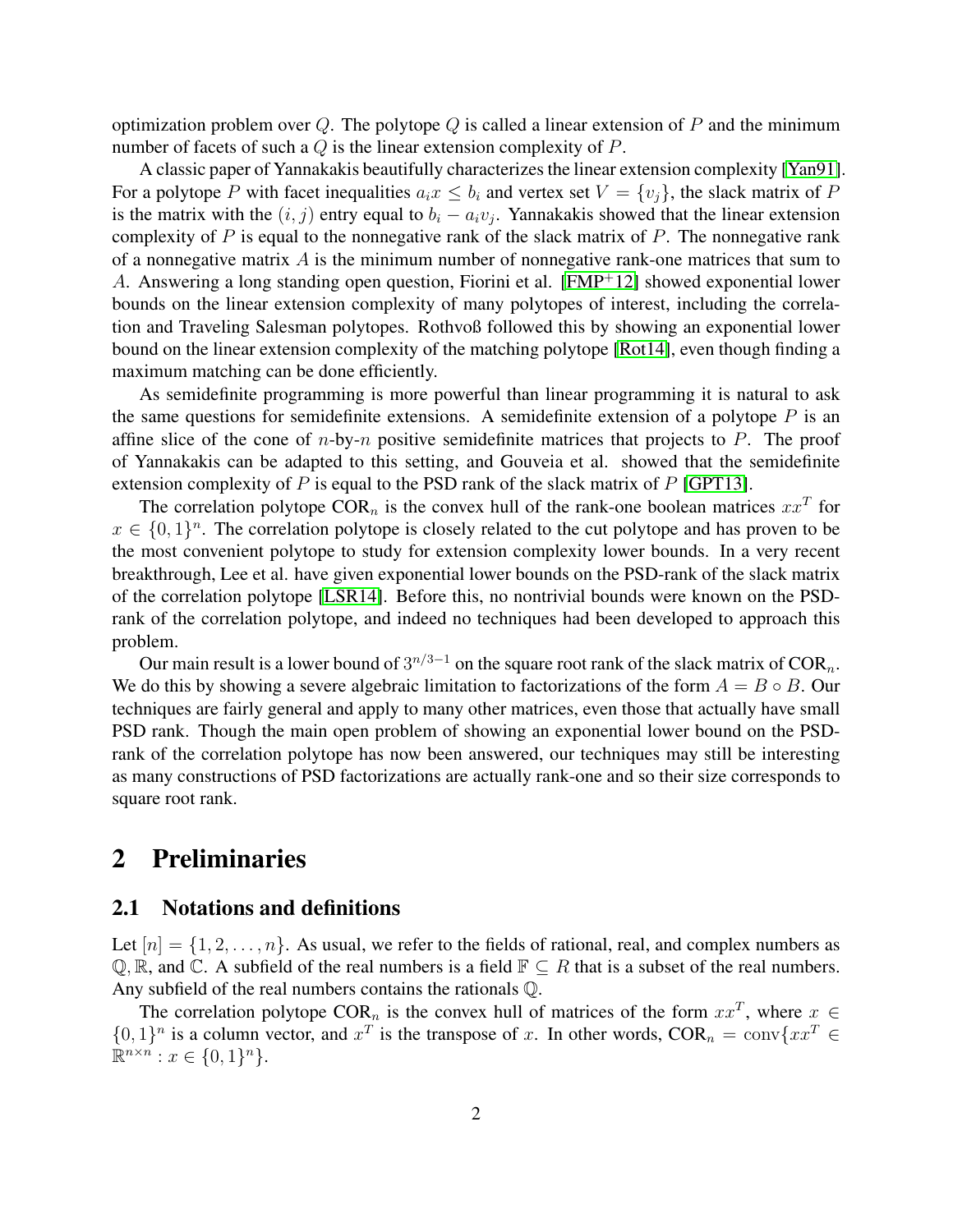optimization problem over Q. The polytope Q is called a linear extension of P and the minimum number of facets of such a  $Q$  is the linear extension complexity of  $P$ .

A classic paper of Yannakakis beautifully characterizes the linear extension complexity [\[Yan91\]](#page-9-2). For a polytope P with facet inequalities  $a_i x \leq b_i$  and vertex set  $V = \{v_i\}$ , the slack matrix of P is the matrix with the  $(i, j)$  entry equal to  $b_i - a_i v_j$ . Yannakakis showed that the linear extension complexity of  $P$  is equal to the nonnegative rank of the slack matrix of  $P$ . The nonnegative rank of a nonnegative matrix  $\vec{A}$  is the minimum number of nonnegative rank-one matrices that sum to A. Answering a long standing open question, Fiorini et al. [\[FMP](#page-9-3)<sup>+</sup>12] showed exponential lower bounds on the linear extension complexity of many polytopes of interest, including the correlation and Traveling Salesman polytopes. Rothvoß followed this by showing an exponential lower bound on the linear extension complexity of the matching polytope [\[Rot14\]](#page-9-4), even though finding a maximum matching can be done efficiently.

As semidefinite programming is more powerful than linear programming it is natural to ask the same questions for semidefinite extensions. A semidefinite extension of a polytope  $P$  is an affine slice of the cone of  $n$ -by- $n$  positive semidefinite matrices that projects to  $P$ . The proof of Yannakakis can be adapted to this setting, and Gouveia et al. showed that the semidefinite extension complexity of  $P$  is equal to the PSD rank of the slack matrix of  $P$  [\[GPT13\]](#page-9-0).

The correlation polytope COR<sub>n</sub> is the convex hull of the rank-one boolean matrices  $xx^T$  for  $x \in \{0,1\}^n$ . The correlation polytope is closely related to the cut polytope and has proven to be the most convenient polytope to study for extension complexity lower bounds. In a very recent breakthrough, Lee et al. have given exponential lower bounds on the PSD-rank of the slack matrix of the correlation polytope [\[LSR14\]](#page-9-5). Before this, no nontrivial bounds were known on the PSDrank of the correlation polytope, and indeed no techniques had been developed to approach this problem.

Our main result is a lower bound of  $3^{n/3-1}$  on the square root rank of the slack matrix of  $COR_n$ . We do this by showing a severe algebraic limitation to factorizations of the form  $A = B \circ B$ . Our techniques are fairly general and apply to many other matrices, even those that actually have small PSD rank. Though the main open problem of showing an exponential lower bound on the PSDrank of the correlation polytope has now been answered, our techniques may still be interesting as many constructions of PSD factorizations are actually rank-one and so their size corresponds to square root rank.

# 2 Preliminaries

### 2.1 Notations and definitions

Let  $[n] = \{1, 2, \ldots, n\}$ . As usual, we refer to the fields of rational, real, and complex numbers as  $\mathbb{Q}, \mathbb{R}$ , and  $\mathbb{C}$ . A subfield of the real numbers is a field  $\mathbb{F} \subseteq R$  that is a subset of the real numbers. Any subfield of the real numbers contains the rationals Q.

The correlation polytope COR<sub>n</sub> is the convex hull of matrices of the form  $xx^T$ , where  $x \in$  $\{0,1\}^n$  is a column vector, and  $x^T$  is the transpose of x. In other words,  $COR_n = conv\{xx^T \in \mathbb{R}^n\}$  $\mathbb{R}^{n \times n} : x \in \{0,1\}^n$ .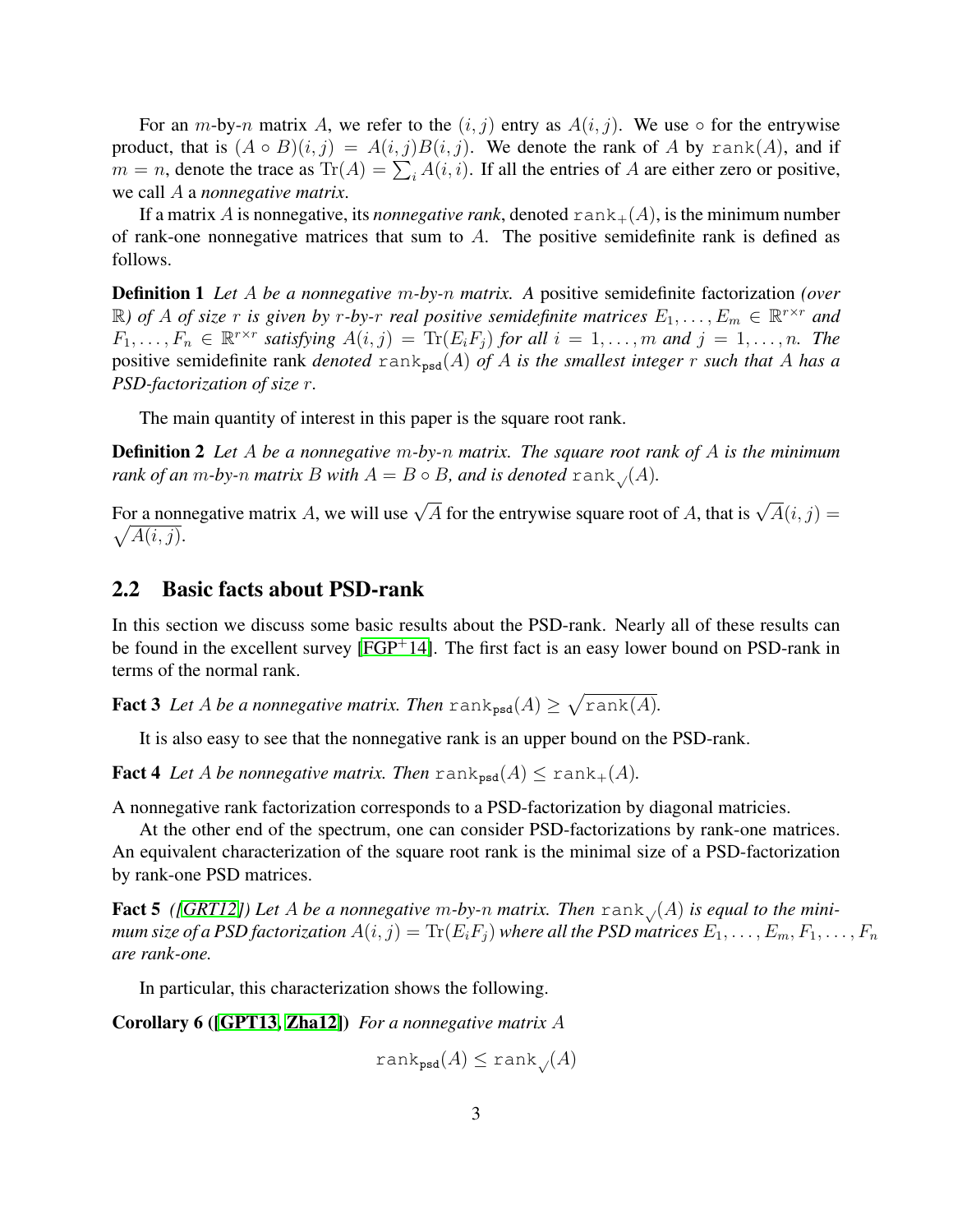For an m-by-n matrix A, we refer to the  $(i, j)$  entry as  $A(i, j)$ . We use  $\circ$  for the entrywise product, that is  $(A \circ B)(i, j) = A(i, j)B(i, j)$ . We denote the rank of A by rank(A), and if  $m = n$ , denote the trace as  $\text{Tr}(A) = \sum_i A(i, i)$ . If all the entries of A are either zero or positive, we call A a *nonnegative matrix*.

If a matrix A is nonnegative, its *nonnegative rank*, denoted  $rank_{+}(A)$ , is the minimum number of rank-one nonnegative matrices that sum to  $A$ . The positive semidefinite rank is defined as follows.

Definition 1 *Let* A *be a nonnegative* m*-by-*n *matrix. A* positive semidefinite factorization *(over*  $\mathbb{R}$ ) of A of size r is given by r-by-r real positive semidefinite matrices  $E_1, \ldots, E_m \in \mathbb{R}^{r \times r}$  and  $F_1, \ldots, F_n \in \mathbb{R}^{r \times r}$  satisfying  $A(i, j) = \text{Tr}(E_i F_j)$  for all  $i = 1, \ldots, m$  and  $j = 1, \ldots, n$ . The positive semidefinite rank *denoted* rank<sub>psd</sub>(A) *of* A *is the smallest integer* r *such that* A *has a PSD-factorization of size* r*.*

The main quantity of interest in this paper is the square root rank.

Definition 2 *Let* A *be a nonnegative* m*-by-*n *matrix. The square root rank of* A *is the minimum rank of an m-by-n matrix B with*  $A = B \circ B$ *, and is denoted* rank  $(A)$ *.* 

For a nonnegative matrix A, we will use  $\sqrt{A}$  for the entrywise square root of A, that is  $\sqrt{A}(i, j) =$  $\sqrt{A(i,j)}$ .

### 2.2 Basic facts about PSD-rank

In this section we discuss some basic results about the PSD-rank. Nearly all of these results can be found in the excellent survey  $[FGP^+14]$  $[FGP^+14]$ . The first fact is an easy lower bound on PSD-rank in terms of the normal rank.

**Fact 3** Let A be a nonnegative matrix. Then  $\text{rank}_{\text{psd}}(A) \geq \sqrt{\text{rank}(A)}$ .

<span id="page-2-1"></span>It is also easy to see that the nonnegative rank is an upper bound on the PSD-rank.

**Fact 4** Let A be nonnegative matrix. Then  $\text{rank}_{\text{psd}}(A) \leq \text{rank}_{+}(A)$ .

A nonnegative rank factorization corresponds to a PSD-factorization by diagonal matricies.

At the other end of the spectrum, one can consider PSD-factorizations by rank-one matrices. An equivalent characterization of the square root rank is the minimal size of a PSD-factorization by rank-one PSD matrices.

**Fact 5** ([\[GRT12\]](#page-9-6)) Let A be a nonnegative m-by-n matrix. Then  $\text{rank}_{\mathcal{A}}(A)$  is equal to the mini*mum size of a PSD factorization*  $A(i, j) = \text{Tr}(E_i F_j)$  *where all the PSD matrices*  $E_1, \ldots, E_m, F_1, \ldots, F_n$ *are rank-one.*

In particular, this characterization shows the following.

Corollary 6 ([\[GPT13,](#page-9-0) [Zha12\]](#page-9-1)) *For a nonnegative matrix* A

<span id="page-2-0"></span> $rank_{psd}(A) \leq rank_{\mathcal{N}}(A)$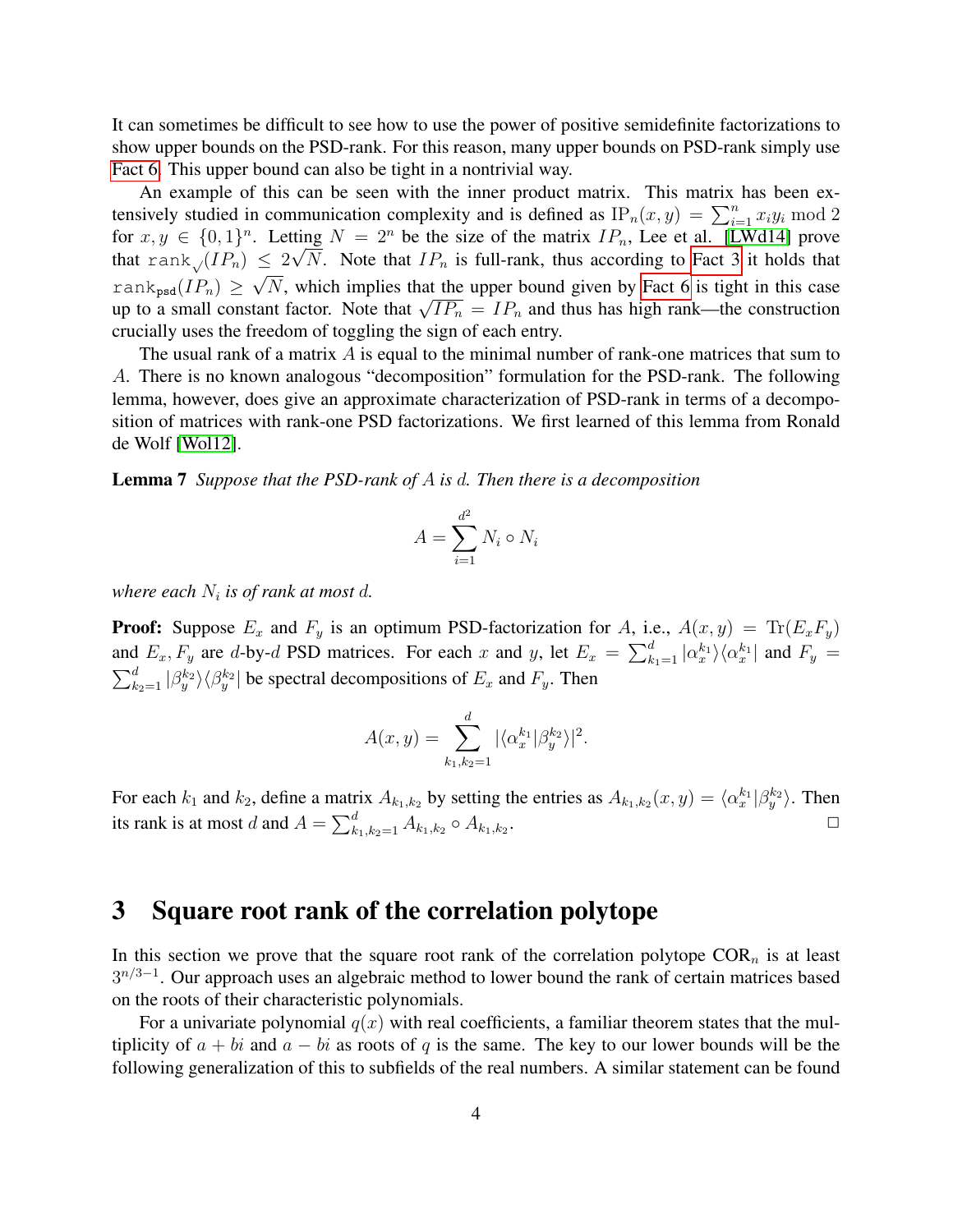It can sometimes be difficult to see how to use the power of positive semidefinite factorizations to show upper bounds on the PSD-rank. For this reason, many upper bounds on PSD-rank simply use [Fact 6.](#page-2-0) This upper bound can also be tight in a nontrivial way.

An example of this can be seen with the inner product matrix. This matrix has been extensively studied in communication complexity and is defined as  $IP_n(x, y) = \sum_{i=1}^n x_i y_i \text{ mod } 2$ for  $x, y \in \{0, 1\}^n$ . Letting  $N = 2^n$  be the size of the matrix  $IP_n$ , Lee et al. [\[LWd14\]](#page-9-7) prove that rank<sub>√</sub>( $IP_n$ )  $\leq 2\sqrt{N}$ . Note that  $IP_n$  is full-rank, thus according to [Fact 3](#page-2-1) it holds that rank<sub>psd</sub>(IP<sub>n</sub>)  $\geq \sqrt{N}$ , which implies that the upper bound given by [Fact 6](#page-2-0) is tight in this case rank<sub>psd</sub>( $i_{n}$ )  $\geq$   $\sqrt{n}$ , which implies that the upper bound given by Fact 6 is tight in this case<br>up to a small constant factor. Note that  $\sqrt{IP_n} = IP_n$  and thus has high rank—the construction crucially uses the freedom of toggling the sign of each entry.

The usual rank of a matrix  $\vec{A}$  is equal to the minimal number of rank-one matrices that sum to A. There is no known analogous "decomposition" formulation for the PSD-rank. The following lemma, however, does give an approximate characterization of PSD-rank in terms of a decomposition of matrices with rank-one PSD factorizations. We first learned of this lemma from Ronald de Wolf [\[Wol12\]](#page-9-8).

<span id="page-3-0"></span>Lemma 7 *Suppose that the PSD-rank of* A *is* d*. Then there is a decomposition*

$$
A = \sum_{i=1}^{d^2} N_i \circ N_i
$$

where each  $N_i$  is of rank at most  $d$ .

**Proof:** Suppose  $E_x$  and  $F_y$  is an optimum PSD-factorization for A, i.e.,  $A(x, y) = \text{Tr}(E_x F_y)$ and  $E_x$ ,  $F_y$  are d-by-d PSD matrices. For each x and y, let  $E_x = \sum_{k_1=1}^d |\alpha_x^{k_1}\rangle \langle \alpha_x^{k_1}|$  and  $F_y =$  $\sum_{k_2=1}^d |\beta_y^{k_2}\rangle\langle \beta_y^{k_2}|$  be spectral decompositions of  $E_x$  and  $F_y$ . Then

$$
A(x,y) = \sum_{k_1,k_2=1}^d |\langle \alpha_x^{k_1} | \beta_y^{k_2} \rangle|^2.
$$

For each  $k_1$  and  $k_2$ , define a matrix  $A_{k_1,k_2}$  by setting the entries as  $A_{k_1,k_2}(x,y) = \langle \alpha_x^{k_1} | \beta_y^{k_2} \rangle$ . Then its rank is at most d and  $A = \sum_{k_1, k_2=1}^d A_{k_1, k_2} \circ A_{k_1, k_2}$ .  $\Box$ 

# 3 Square root rank of the correlation polytope

In this section we prove that the square root rank of the correlation polytope  $COR_n$  is at least  $3^{n/3-1}$ . Our approach uses an algebraic method to lower bound the rank of certain matrices based on the roots of their characteristic polynomials.

For a univariate polynomial  $q(x)$  with real coefficients, a familiar theorem states that the multiplicity of  $a + bi$  and  $a - bi$  as roots of q is the same. The key to our lower bounds will be the following generalization of this to subfields of the real numbers. A similar statement can be found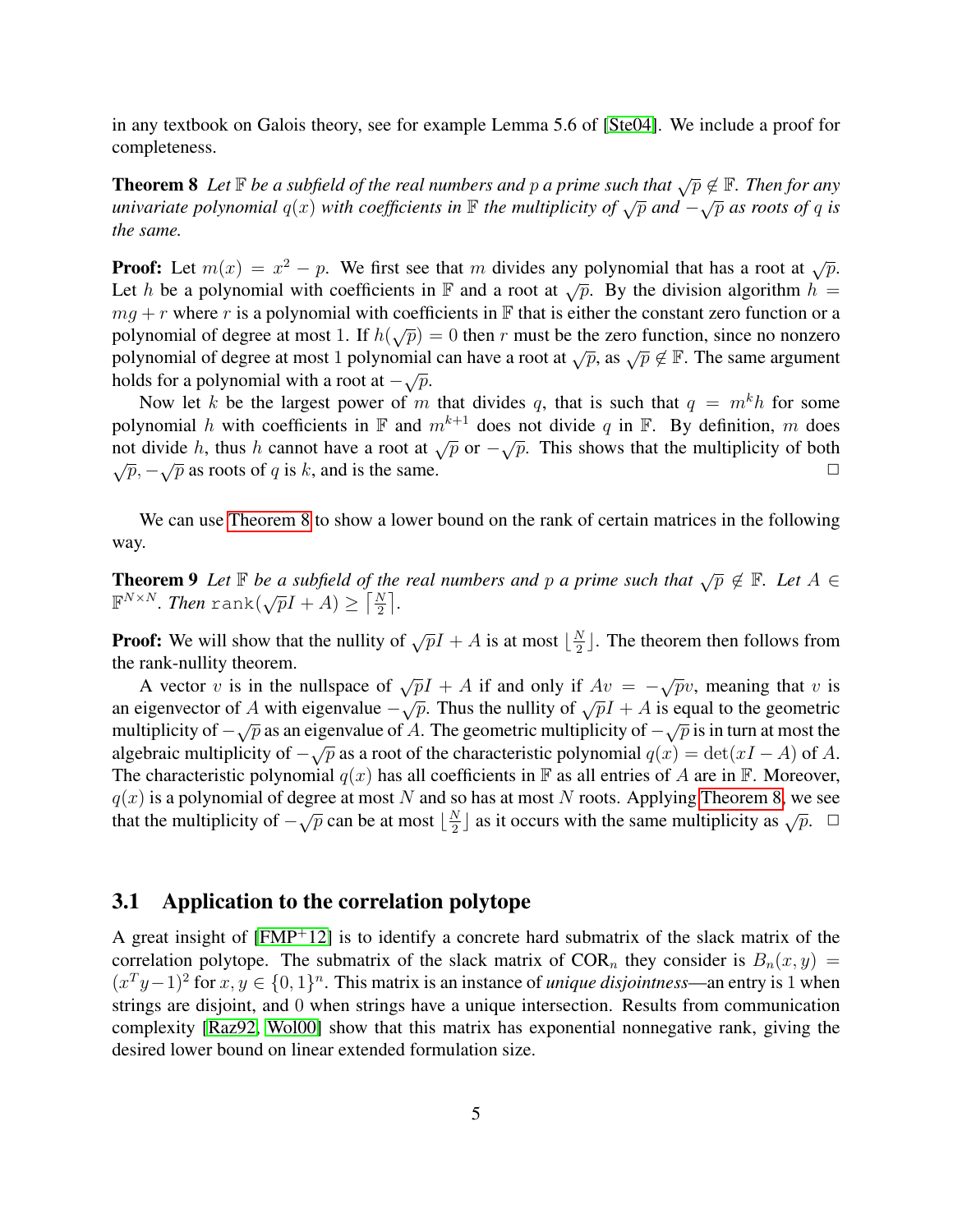<span id="page-4-0"></span>in any textbook on Galois theory, see for example Lemma 5.6 of [\[Ste04\]](#page-9-9). We include a proof for completeness.

**Theorem 8** *Let*  $\mathbb F$  *be a subfield of the real numbers and* p *a prime such that*  $\sqrt{p} \notin \mathbb F$ *. Then for any* **univariate polynomial**  $q(x)$  *with coefficients in* **F** *the multiplicity of* √ $\bar{p}$  *and*  $-\sqrt{p}$  *as roots of* q *is the same.*

**Proof:** Let  $m(x) = x^2 - p$ . We first see that m divides any polynomial that has a root at  $\sqrt{p}$ . Let h be a polynomial with coefficients in F and a root at  $\sqrt{p}$ . By the division algorithm  $h =$  $mg + r$  where r is a polynomial with coefficients in F that is either the constant zero function or a  $m\ddot{g} + r$  where r is a polynomial with coefficients in  $\ddot{F}$  that is efficient the constant zero function of a polynomial of degree at most 1. If  $h(\sqrt{p}) = 0$  then r must be the zero function, since no nonzero polynomial of degree at most 1 polynomial can have a root at  $\sqrt{p}$ , as  $\sqrt{p} \notin \mathbb{F}$ . The same argument holds for a polynomial with a root at  $-\sqrt{p}$ .

Now let k be the largest power of m that divides q, that is such that  $q = m^k h$  for some polynomial h with coefficients in  $\mathbb F$  and  $m^{k+1}$  does not divide q in  $\mathbb F$ . By definition, m does potynomian *n* with coefficients in  $\mathbb{F}$  and *n* does not divide q in  $\mathbb{F}$ . By definition, *m* does not divide *h*, thus *h* cannot have a root at  $\sqrt{p}$  or  $-\sqrt{p}$ . This shows that the multiplicity of both  $\sqrt{p}$ ,  $-\sqrt{p}$  as roots of q is k, and is the same.  $\sqrt{p}$  as roots of q is k, and is the same.  $\Box$ 

<span id="page-4-1"></span>We can use [Theorem 8](#page-4-0) to show a lower bound on the rank of certain matrices in the following way.

**Theorem 9** Let  $\mathbb F$  be a subfield of the real numbers and p a prime such that  $\sqrt{p} \notin \mathbb F$ . Let  $A \in$ **F**<sup>*NxN*</sup>. *Then* rank $(\sqrt{p}I + A) \geq \left\lceil \frac{N}{2} \right\rceil$ .

**Proof:** We will show that the nullity of  $\sqrt{p}I + A$  is at most  $\frac{N}{2}$  $\frac{N}{2}$ . The theorem then follows from the rank-nullity theorem.

A vector v is in the nullspace of  $\sqrt{p}I + A$  if and only if  $Av = -\sqrt{p}v$ , meaning that v is A vector v is in the nullispace of  $\sqrt{p_1 + A}$  if and only if  $Av = -\sqrt{p_2}$ , including that v is<br>an eigenvector of A with eigenvalue  $-\sqrt{p}$ . Thus the nullity of  $\sqrt{p_1 + A}$  is equal to the geometric multiplicity of  $-\sqrt{p}$  as an eigenvalue of A. The geometric multiplicity of  $-\sqrt{p}$  is in turn at most the algebraic multiplicity of  $-\sqrt{p}$  as a root of the characteristic polynomial  $q(x) = \det(xI - A)$  of A. The characteristic polynomial  $q(x)$  has all coefficients in F as all entries of A are in F. Moreover,  $q(x)$  is a polynomial of degree at most N and so has at most N roots. Applying [Theorem 8,](#page-4-0) we see that the multiplicity of  $-\sqrt{p}$  can be at most  $\frac{N}{2}$  $\frac{N}{2}$  as it occurs with the same multiplicity as  $\sqrt{p}$ .  $\Box$ 

### 3.1 Application to the correlation polytope

A great insight of  $[FMP<sup>+</sup>12]$  $[FMP<sup>+</sup>12]$  is to identify a concrete hard submatrix of the slack matrix of the correlation polytope. The submatrix of the slack matrix of COR<sub>n</sub> they consider is  $B_n(x, y) =$  $(x^T y-1)^2$  for  $x, y \in \{0,1\}^n$ . This matrix is an instance of *unique disjointness*—an entry is 1 when strings are disjoint, and 0 when strings have a unique intersection. Results from communication complexity [\[Raz92,](#page-9-10) [Wol00\]](#page-9-11) show that this matrix has exponential nonnegative rank, giving the desired lower bound on linear extended formulation size.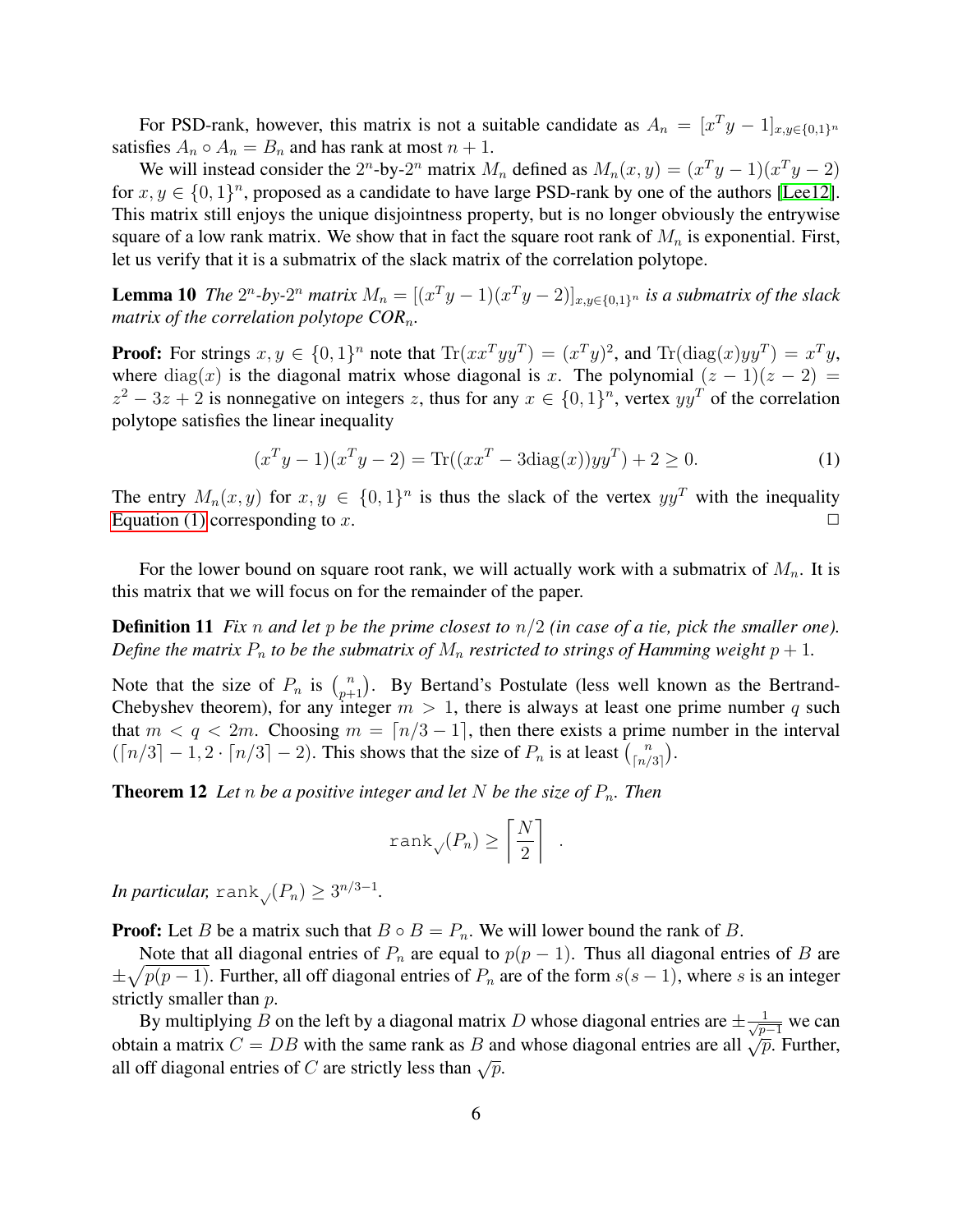For PSD-rank, however, this matrix is not a suitable candidate as  $A_n = [x^T y - 1]_{x,y \in \{0,1\}^n}$ satisfies  $A_n \circ A_n = B_n$  and has rank at most  $n + 1$ .

We will instead consider the  $2^n$ -by- $2^n$  matrix  $M_n$  defined as  $M_n(x, y) = (x^T y - 1)(x^T y - 2)$ for  $x, y \in \{0, 1\}^n$ , proposed as a candidate to have large PSD-rank by one of the authors [\[Lee12\]](#page-9-12). This matrix still enjoys the unique disjointness property, but is no longer obviously the entrywise square of a low rank matrix. We show that in fact the square root rank of  $M_n$  is exponential. First, let us verify that it is a submatrix of the slack matrix of the correlation polytope.

**Lemma 10** The  $2^n$ -by- $2^n$  matrix  $M_n = [(x^T y - 1)(x^T y - 2)]_{x,y \in \{0,1\}^n}$  is a submatrix of the slack *matrix of the correlation polytope COR*n*.*

**Proof:** For strings  $x, y \in \{0, 1\}^n$  note that  $\text{Tr}(xx^Tyy^T) = (x^T y)^2$ , and  $\text{Tr}(\text{diag}(x)yy^T) = x^T y$ , where diag(x) is the diagonal matrix whose diagonal is x. The polynomial  $(z - 1)(z - 2) =$  $z^2 - 3z + 2$  is nonnegative on integers z, thus for any  $x \in \{0, 1\}^n$ , vertex  $yy^T$  of the correlation polytope satisfies the linear inequality

<span id="page-5-3"></span><span id="page-5-0"></span>
$$
(xTy - 1)(xTy - 2) = \text{Tr}((xxT - 3\text{diag}(x))yyT) + 2 \ge 0.
$$
 (1)

<span id="page-5-1"></span>.

The entry  $M_n(x, y)$  for  $x, y \in \{0, 1\}^n$  is thus the slack of the vertex  $yy^T$  with the inequality [Equation \(1\)](#page-5-0) corresponding to x.  $\Box$ 

For the lower bound on square root rank, we will actually work with a submatrix of  $M_n$ . It is this matrix that we will focus on for the remainder of the paper.

Definition 11 *Fix* n *and let* p *be the prime closest to* n/2 *(in case of a tie, pick the smaller one). Define the matrix*  $P_n$  *to be the submatrix of*  $M_n$  *restricted to strings of Hamming weight*  $p + 1$ *.* 

Note that the size of  $P_n$  is  $\binom{n}{p+1}$ . By Bertand's Postulate (less well known as the Bertrand-Chebyshev theorem), for any integer  $m > 1$ , there is always at least one prime number q such that  $m < q < 2m$ . Choosing  $m = \lfloor n/3 - 1 \rfloor$ , then there exists a prime number in the interval  $(\lceil n/3 \rceil - 1, 2 \cdot \lceil n/3 \rceil - 2)$ . This shows that the size of  $P_n$  is at least  $\binom{n}{\lceil n/2 \rceil}$  $\binom{n}{\lceil n/3 \rceil}$ .

<span id="page-5-2"></span>**Theorem 12** Let *n* be a positive integer and let N be the size of  $P_n$ . Then

$$
\text{rank}_{\sqrt{P_n}} \ge \left\lceil \frac{N}{2} \right\rceil
$$

*In particular,* rank $\sqrt{(P_n)} \geq 3^{n/3-1}$ .

**Proof:** Let B be a matrix such that  $B \circ B = P_n$ . We will lower bound the rank of B.

Note that all diagonal entries of  $P_n$  are equal to  $p(p-1)$ . Thus all diagonal entries of B are  $\pm \sqrt{p(p-1)}$ . Further, all off diagonal entries of  $P_n$  are of the form  $s(s-1)$ , where s is an integer strictly smaller than  $p$ .

By multiplying B on the left by a diagonal matrix D whose diagonal entries are  $\pm \frac{1}{\sqrt{p-1}}$  we can obtain a matrix  $C = DB$  with the same rank as B and whose diagonal entries are all  $\sqrt{p}$ . Further, all off diagonal entries of C are strictly less than  $\sqrt{p}$ .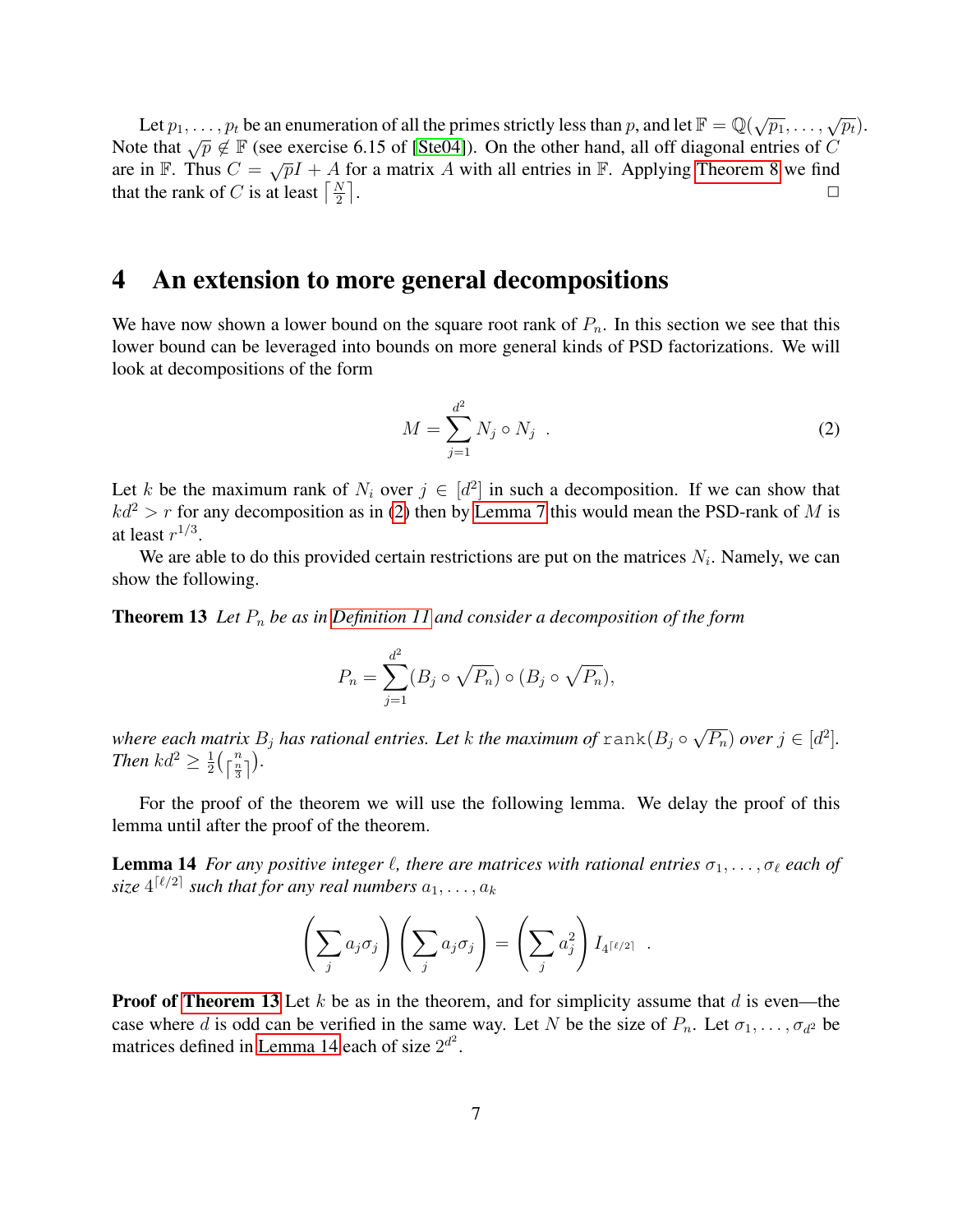Let  $p_1, \ldots, p_t$  be an enumeration of all the primes strictly less than p, and let  $\mathbb{F} = \mathbb{Q}(\sqrt{p_1}, \ldots, \sqrt{p_t})$ . Note that  $\sqrt{p} \notin \mathbb{F}$  (see exercise 6.15 of [\[Ste04\]](#page-9-9)). On the other hand, all off diagonal entries of C are in F. Thus  $C = \sqrt{pI} + A$  for a matrix A with all entries in F. Applying [Theorem 8](#page-4-0) we find that the rank of C is at least  $\left\lceil \frac{N}{2} \right\rceil$ .  $\Box$ 

## 4 An extension to more general decompositions

We have now shown a lower bound on the square root rank of  $P_n$ . In this section we see that this lower bound can be leveraged into bounds on more general kinds of PSD factorizations. We will look at decompositions of the form

<span id="page-6-0"></span>
$$
M = \sum_{j=1}^{d^2} N_j \circ N_j \tag{2}
$$

Let k be the maximum rank of  $N_i$  over  $j \in [d^2]$  in such a decomposition. If we can show that  $kd^2 > r$  for any decomposition as in [\(2\)](#page-6-0) then by [Lemma 7](#page-3-0) this would mean the PSD-rank of M is at least  $r^{1/3}$ .

We are able to do this provided certain restrictions are put on the matrices  $N_i$ . Namely, we can show the following.

**Theorem 13** Let  $P_n$  be as in [Definition 11](#page-5-1) and consider a decomposition of the form

<span id="page-6-1"></span>
$$
P_n = \sum_{j=1}^{d^2} (B_j \circ \sqrt{P_n}) \circ (B_j \circ \sqrt{P_n}),
$$

*where each matrix*  $B_j$  *has rational entries. Let*  $k$  *the maximum of*  $\texttt{rank}(B_j \circ \texttt{rank}(B_j))$ √  $\overline{P_n}$ ) over  $j \in [d^2]$ . *Then*  $kd^2 \geq \frac{1}{2}$  $\frac{1}{2} \left( \left\lceil \frac{n}{3} \right\rceil \right)$ .

For the proof of the theorem we will use the following lemma. We delay the proof of this lemma until after the proof of the theorem.

**Lemma 14** *For any positive integer*  $\ell$ , there are matrices with rational entries  $\sigma_1, \ldots, \sigma_\ell$  each of  ${\it size} \ 4^{\lceil \ell/2 \rceil}$  such that for any real numbers  $a_1, \ldots, a_k$ 

<span id="page-6-2"></span>
$$
\left(\sum_j a_j \sigma_j\right)\left(\sum_j a_j \sigma_j\right) = \left(\sum_j a_j^2\right) I_{4\lceil\ell/2\rceil} .
$$

**Proof of [Theorem 13](#page-6-1)** Let k be as in the theorem, and for simplicity assume that d is even—the case where d is odd can be verified in the same way. Let N be the size of  $P_n$ . Let  $\sigma_1, \ldots, \sigma_{d^2}$  be matrices defined in [Lemma 14](#page-6-2) each of size  $2^{d^2}$ .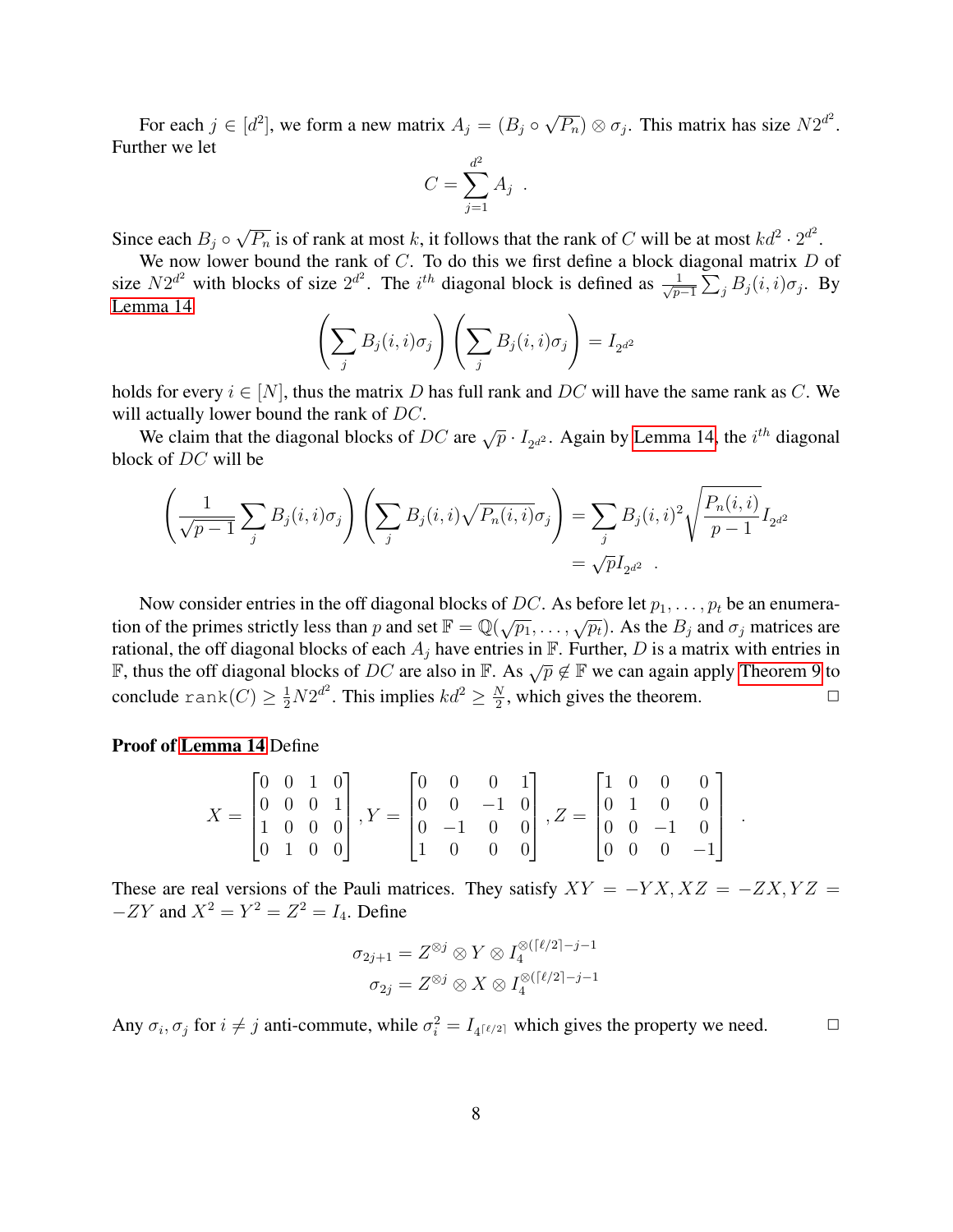For each  $j \in [d^2]$ , we form a new matrix  $A_j = (B_j \circ \mathbb{R})$ √  $\overline{P_n}$ )  $\otimes \sigma_j$ . This matrix has size  $N2^{d^2}$ . Further we let

$$
C = \sum_{j=1}^{d^2} A_j.
$$

Since each  $B_j \circ$ √  $\overline{P_n}$  is of rank at most k, it follows that the rank of C will be at most  $kd^2 \cdot 2^{d^2}$ .

We now lower bound the rank of  $C$ . To do this we first define a block diagonal matrix  $D$  of size  $N2^{d^2}$  with blocks of size  $2^{d^2}$ . The i<sup>th</sup> diagonal block is defined as  $\frac{1}{\sqrt{n}}$  $\frac{1}{p-1}\sum_j B_j(i,i)\sigma_j$ . By [Lemma 14](#page-6-2)

$$
\left(\sum_j B_j(i,i)\sigma_j\right)\left(\sum_j B_j(i,i)\sigma_j\right) = I_{2^{d^2}}
$$

holds for every  $i \in [N]$ , thus the matrix D has full rank and DC will have the same rank as C. We will actually lower bound the rank of DC.

We claim that the diagonal blocks of DC are  $\sqrt{p} \cdot I_{2^{d^2}}$ . Again by [Lemma 14,](#page-6-2) the  $i^{th}$  diagonal block of DC will be

$$
\left(\frac{1}{\sqrt{p-1}}\sum_{j} B_j(i,i)\sigma_j\right)\left(\sum_{j} B_j(i,i)\sqrt{P_n(i,i)}\sigma_j\right) = \sum_{j} B_j(i,i)^2 \sqrt{\frac{P_n(i,i)}{p-1}} I_{2^{d^2}}
$$

$$
= \sqrt{p}I_{2^{d^2}}.
$$

Now consider entries in the off diagonal blocks of DC. As before let  $p_1, \ldots, p_t$  be an enumeration of the primes strictly less than p and set  $\mathbb{F} = \mathbb{Q}(\sqrt{p_1}, \dots, \sqrt{p_t})$ . As the  $B_j$  and  $\sigma_j$  matrices are rational, the off diagonal blocks of each  $A_i$  have entries in  $\mathbb F$ . Further, D is a matrix with entries in F, thus the off diagonal blocks of DC are also in F. As  $\sqrt{p}$  ∉ F we can again apply [Theorem 9](#page-4-1) to conclude  $\text{rank}(C) \geq \frac{1}{2}N2^{d^2}.$  This implies  $kd^2 \geq \frac{N}{2}$  $\frac{N}{2}$ , which gives the theorem.  $\Box$ 

#### Proof of [Lemma 14](#page-6-2) Define

$$
X = \begin{bmatrix} 0 & 0 & 1 & 0 \\ 0 & 0 & 0 & 1 \\ 1 & 0 & 0 & 0 \\ 0 & 1 & 0 & 0 \end{bmatrix}, Y = \begin{bmatrix} 0 & 0 & 0 & 1 \\ 0 & 0 & -1 & 0 \\ 0 & -1 & 0 & 0 \\ 1 & 0 & 0 & 0 \end{bmatrix}, Z = \begin{bmatrix} 1 & 0 & 0 & 0 \\ 0 & 1 & 0 & 0 \\ 0 & 0 & -1 & 0 \\ 0 & 0 & 0 & -1 \end{bmatrix}.
$$

These are real versions of the Pauli matrices. They satisfy  $XY = -YX, XZ = -ZX, YZ =$  $-ZY$  and  $X^2 = Y^2 = Z^2 = I_4$ . Define

$$
\sigma_{2j+1} = Z^{\otimes j} \otimes Y \otimes I_4^{\otimes (\lceil \ell/2 \rceil - j - 1} \sigma_{2j} = Z^{\otimes j} \otimes X \otimes I_4^{\otimes (\lceil \ell/2 \rceil - j - 1} \sigma_{2j} = Z^{\otimes j} \otimes X \otimes I_4^{\otimes (\lceil \ell/2 \rceil - j - 1} \sigma_{2j} = Z^{\otimes j} \otimes X \otimes I_4^{\otimes (\lceil \ell/2 \rceil - j - 1} \sigma_{2j} = Z^{\otimes j} \otimes X \otimes I_4^{\otimes (\lceil \ell/2 \rceil - j - 1} \sigma_{2j} = Z^{\otimes j} \otimes X \otimes I_4^{\otimes \lceil \ell/2 \rceil - j - 1} \sigma_{2j} = Z^{\otimes j} \otimes X \otimes I_4^{\otimes \lceil \ell/2 \rceil - j - 1} \sigma_{2j} = Z^{\otimes j} \otimes X \otimes I_4^{\otimes \lceil \ell/2 \rceil - j - 1} \sigma_{2j} = Z^{\otimes j} \otimes X \otimes I_4^{\otimes \lceil \ell/2 \rceil - j - 1} \sigma_{2j} = Z^{\otimes j} \otimes X \otimes I_4^{\otimes \lceil \ell/2 \rceil - j - 1} \sigma_{2j} = Z^{\otimes j} \otimes X \otimes I_4^{\otimes \lceil \ell/2 \rceil - j - 1} \sigma_{2j} = Z^{\otimes j} \otimes X \otimes I_4^{\otimes \lceil \ell/2 \rceil - j - 1} \sigma_{2j} = Z^{\otimes j} \otimes X \otimes I_4^{\otimes \lceil \ell/2 \rceil - j - 1} \sigma_{2j} = Z^{\otimes j} \otimes X \otimes I_4^{\otimes \lceil \ell/2 \rceil - j - 1} \sigma_{2j} = Z^{\otimes j} \otimes X \otimes I_4^{\otimes \lceil \ell/2 \rceil - j - 1} \sigma_{2j} = Z^{\otimes j} \otimes X \otimes I_4^{\otimes \lceil \ell/2 \rceil - j - 1} \sigma_{2j} = Z^{\otimes j} \otimes X \otimes I_4^{\otimes \lceil \ell/2 \rceil - j - 1} \sigma_{2j} = Z^{\
$$

Any  $\sigma_i$ ,  $\sigma_j$  for  $i \neq j$  anti-commute, while  $\sigma_i^2 = I_{4^{[\ell/2]}}$  which gives the property we need.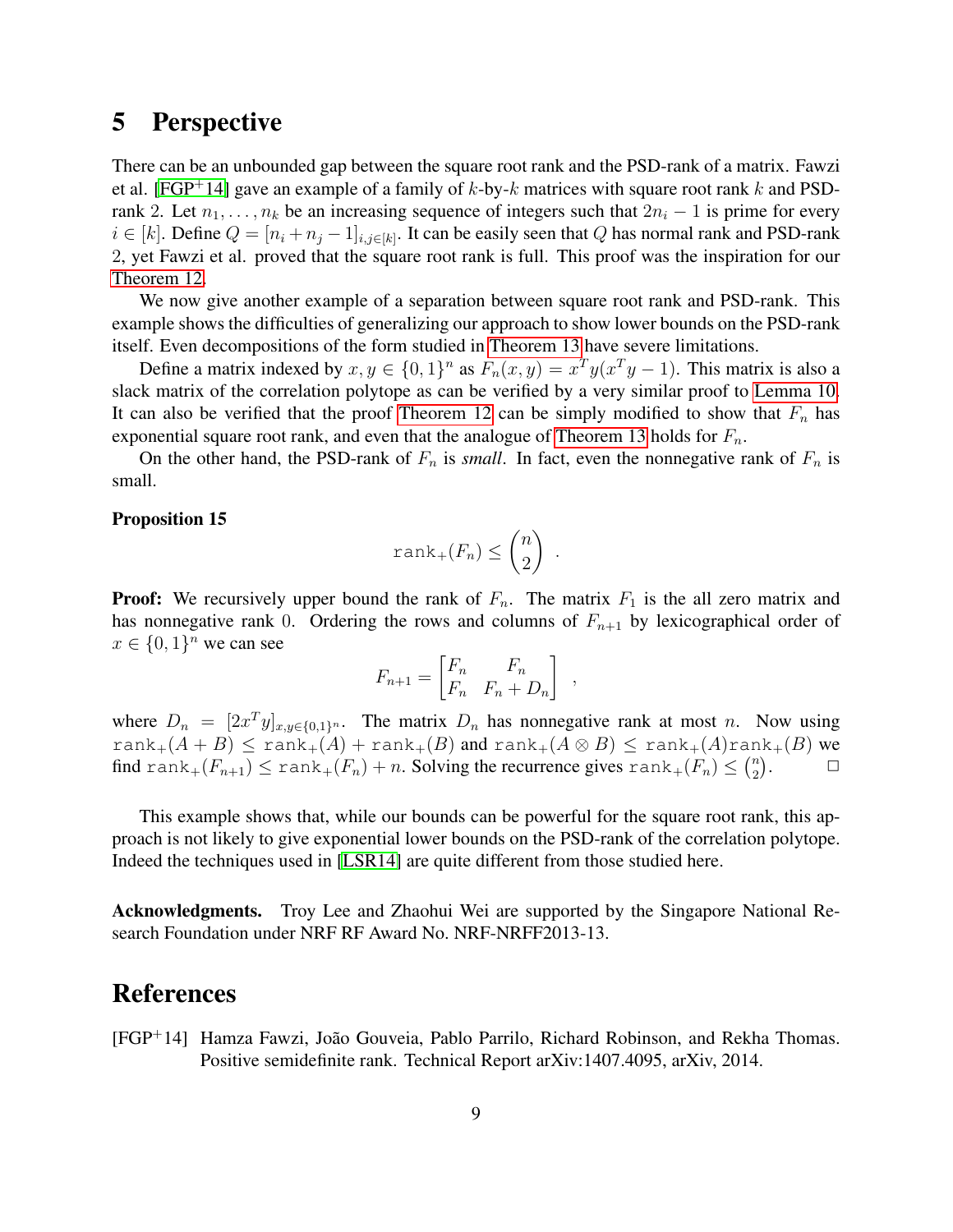## 5 Perspective

There can be an unbounded gap between the square root rank and the PSD-rank of a matrix. Fawzi et al. [\[FGP](#page-8-0)<sup>+</sup>14] gave an example of a family of k-by-k matrices with square root rank k and PSDrank 2. Let  $n_1, \ldots, n_k$  be an increasing sequence of integers such that  $2n_i - 1$  is prime for every  $i \in [k]$ . Define  $Q = [n_i + n_j - 1]_{i,j \in [k]}$ . It can be easily seen that Q has normal rank and PSD-rank 2, yet Fawzi et al. proved that the square root rank is full. This proof was the inspiration for our [Theorem 12.](#page-5-2)

We now give another example of a separation between square root rank and PSD-rank. This example shows the difficulties of generalizing our approach to show lower bounds on the PSD-rank itself. Even decompositions of the form studied in [Theorem 13](#page-6-1) have severe limitations.

Define a matrix indexed by  $x, y \in \{0, 1\}^n$  as  $F_n(x, y) = x^T y (x^T y - 1)$ . This matrix is also a slack matrix of the correlation polytope as can be verified by a very similar proof to [Lemma 10.](#page-5-3) It can also be verified that the proof [Theorem 12](#page-5-2) can be simply modified to show that  $F_n$  has exponential square root rank, and even that the analogue of [Theorem 13](#page-6-1) holds for  $F_n$ .

On the other hand, the PSD-rank of  $F_n$  is *small*. In fact, even the nonnegative rank of  $F_n$  is small.

#### Proposition 15

$$
\operatorname{rank}_+(F_n) \leq \binom{n}{2} \ .
$$

**Proof:** We recursively upper bound the rank of  $F_n$ . The matrix  $F_1$  is the all zero matrix and has nonnegative rank 0. Ordering the rows and columns of  $F_{n+1}$  by lexicographical order of  $x \in \{0,1\}^n$  we can see

$$
F_{n+1} = \begin{bmatrix} F_n & F_n \\ F_n & F_n + D_n \end{bmatrix} ,
$$

where  $D_n = [2x^T y]_{x,y \in \{0,1\}^n}$ . The matrix  $D_n$  has nonnegative rank at most n. Now using rank<sub>+</sub> $(A + B) \le$  rank<sub>+</sub> $(A)$  + rank<sub>+</sub> $(B)$  and rank<sub>+</sub> $(A \otimes B) \le$  rank<sub>+</sub> $(A)$ rank<sub>+</sub> $(B)$  we find rank $_+(F_{n+1}) \le$  rank $_+(F_n) + n$ . Solving the recurrence gives  $\text{rank}_+(F_n) \leq {n \choose 2}$  $\binom{n}{2}$  $\Box$ 

This example shows that, while our bounds can be powerful for the square root rank, this approach is not likely to give exponential lower bounds on the PSD-rank of the correlation polytope. Indeed the techniques used in [\[LSR14\]](#page-9-5) are quite different from those studied here.

Acknowledgments. Troy Lee and Zhaohui Wei are supported by the Singapore National Research Foundation under NRF RF Award No. NRF-NRFF2013-13.

### References

<span id="page-8-0"></span>[FGP<sup>+</sup>14] Hamza Fawzi, Joao Gouveia, Pablo Parrilo, Richard Robinson, and Rekha Thomas. ˜ Positive semidefinite rank. Technical Report arXiv:1407.4095, arXiv, 2014.